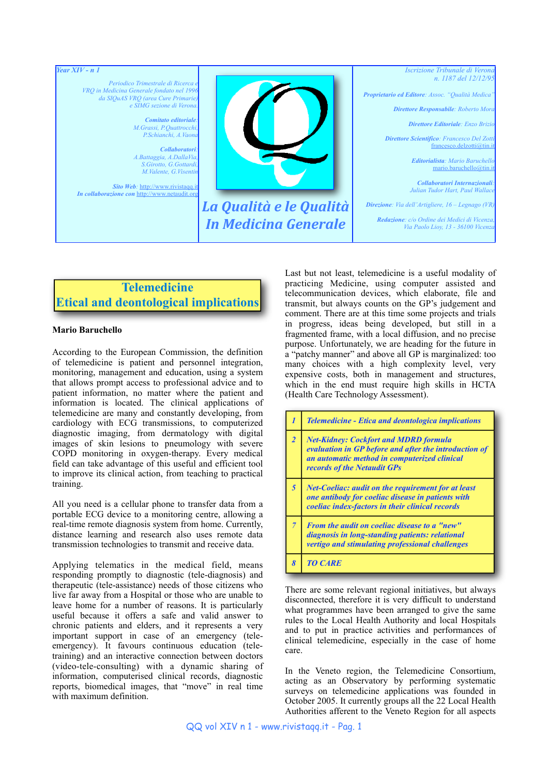



## **Mario Baruchello**

According to the European Commission, the definition of telemedicine is patient and personnel integration, monitoring, management and education, using a system that allows prompt access to professional advice and to patient information, no matter where the patient and information is located. The clinical applications of telemedicine are many and constantly developing, from cardiology with ECG transmissions, to computerized diagnostic imaging, from dermatology with digital images of skin lesions to pneumology with severe COPD monitoring in oxygen-therapy. Every medical field can take advantage of this useful and efficient tool to improve its clinical action, from teaching to practical training.

All you need is a cellular phone to transfer data from a portable ECG device to a monitoring centre, allowing a real-time remote diagnosis system from home. Currently, distance learning and research also uses remote data transmission technologies to transmit and receive data.

Applying telematics in the medical field, means responding promptly to diagnostic (tele-diagnosis) and therapeutic (tele-assistance) needs of those citizens who live far away from a Hospital or those who are unable to leave home for a number of reasons. It is particularly useful because it offers a safe and valid answer to chronic patients and elders, and it represents a very important support in case of an emergency (teleemergency). It favours continuous education (teletraining) and an interactive connection between doctors (video-tele-consulting) with a dynamic sharing of information, computerised clinical records, diagnostic reports, biomedical images, that "move" in real time with maximum definition.

Last but not least, telemedicine is a useful modality of practicing Medicine, using computer assisted and telecommunication devices, which elaborate, file and transmit, but always counts on the GP's judgement and comment. There are at this time some projects and trials in progress, ideas being developed, but still in a fragmented frame, with a local diffusion, and no precise purpose. Unfortunately, we are heading for the future in a "patchy manner" and above all GP is marginalized: too many choices with a high complexity level, very expensive costs, both in management and structures, which in the end must require high skills in HCTA (Health Care Technology Assessment).

|                            | <b>Telemedicine - Etica and deontologica implications</b>                                                                                                                            |
|----------------------------|--------------------------------------------------------------------------------------------------------------------------------------------------------------------------------------|
| $\overline{2}$             | <b>Net-Kidney: Cockfort and MDRD formula</b><br>evaluation in GP before and after the introduction of<br>an automatic method in computerized clinical<br>records of the Netaudit GPs |
| $\overline{5}$             | <b>Net-Coeliac: audit on the requirement for at least</b><br>one antibody for coeliac disease in patients with<br>coeliac index-factors in their clinical records                    |
|                            | <b>From the audit on coeliac disease to a "new"</b><br>diagnosis in long-standing patients: relational<br>vertigo and stimulating professional challenges                            |
| $\boldsymbol{\mathcal{S}}$ | <b>TO CARE</b>                                                                                                                                                                       |

There are some relevant regional initiatives, but always disconnected, therefore it is very difficult to understand what programmes have been arranged to give the same rules to the Local Health Authority and local Hospitals and to put in practice activities and performances of clinical telemedicine, especially in the case of home care.

In the Veneto region, the Telemedicine Consortium, acting as an Observatory by performing systematic surveys on telemedicine applications was founded in October 2005. It currently groups all the 22 Local Health Authorities afferent to the Veneto Region for all aspects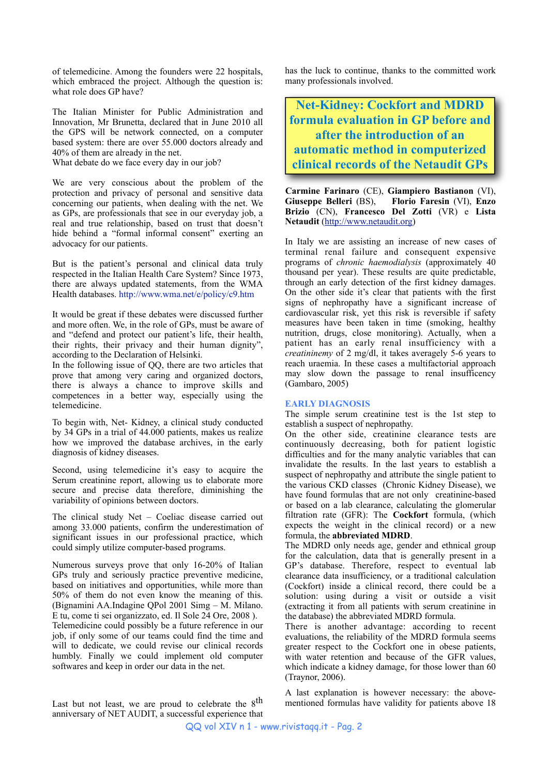of telemedicine. Among the founders were 22 hospitals, which embraced the project. Although the question is: what role does GP have?

The Italian Minister for Public Administration and Innovation, Mr Brunetta, declared that in June 2010 all the GPS will be network connected, on a computer based system: there are over 55.000 doctors already and 40% of them are already in the net.

What debate do we face every day in our job?

We are very conscious about the problem of the protection and privacy of personal and sensitive data concerning our patients, when dealing with the net. We as GPs, are professionals that see in our everyday job, a real and true relationship, based on trust that doesn't hide behind a "formal informal consent" exerting an advocacy for our patients.

But is the patient's personal and clinical data truly respected in the Italian Health Care System? Since 1973, there are always updated statements, from the WMA Health databases.<http://www.wma.net/e/policy/c9.htm>

It would be great if these debates were discussed further and more often. We, in the role of GPs, must be aware of and "defend and protect our patient's life, their health, their rights, their privacy and their human dignity", according to the Declaration of Helsinki.

In the following issue of QQ, there are two articles that prove that among very caring and organized doctors, there is always a chance to improve skills and competences in a better way, especially using the telemedicine.

To begin with, Net- Kidney, a clinical study conducted by 34 GPs in a trial of 44.000 patients, makes us realize how we improved the database archives, in the early diagnosis of kidney diseases.

Second, using telemedicine it's easy to acquire the Serum creatinine report, allowing us to elaborate more secure and precise data therefore, diminishing the variability of opinions between doctors.

The clinical study Net – Coeliac disease carried out among 33.000 patients, confirm the underestimation of significant issues in our professional practice, which could simply utilize computer-based programs.

Numerous surveys prove that only 16-20% of Italian GPs truly and seriously practice preventive medicine, based on initiatives and opportunities, while more than 50% of them do not even know the meaning of this. (Bignamini AA.Indagine QPol 2001 Simg – M. Milano. E tu, come ti sei organizzato, ed. Il Sole 24 Ore, 2008 ). Telemedicine could possibly be a future reference in our job, if only some of our teams could find the time and will to dedicate, we could revise our clinical records humbly. Finally we could implement old computer softwares and keep in order our data in the net.

Last but not least, we are proud to celebrate the  $8<sup>th</sup>$ anniversary of NET AUDIT, a successful experience that has the luck to continue, thanks to the committed work many professionals involved.

**Net-Kidney: Cockfort and MDRD formula evaluation in GP before and after the introduction of an automatic method in computerized clinical records of the Netaudit GPs**

**Carmine Farinaro** (CE), **Giampiero Bastianon** (VI), **Giuseppe Belleri** (BS), **Florio Faresin** (VI), **Enzo Brizio** (CN), **Francesco Del Zotti** (VR) e **Lista Netaudit** ([http://www.netaudit.org\)](http://www.netaudit.org)

In Italy we are assisting an increase of new cases of terminal renal failure and consequent expensive programs of *chronic haemodialysis* (approximately 40 thousand per year). These results are quite predictable, through an early detection of the first kidney damages. On the other side it's clear that patients with the first signs of nephropathy have a significant increase of cardiovascular risk, yet this risk is reversible if safety measures have been taken in time (smoking, healthy nutrition, drugs, close monitoring). Actually, when a patient has an early renal insufficiency with a *creatininemy* of 2 mg/dl, it takes averagely 5-6 years to reach uraemia. In these cases a multifactorial approach may slow down the passage to renal insufficency (Gambaro, 2005)

## **EARLY DIAGNOSIS**

The simple serum creatinine test is the 1st step to establish a suspect of nephropathy.

On the other side, creatinine clearance tests are continuously decreasing, both for patient logistic difficulties and for the many analytic variables that can invalidate the results. In the last years to establish a suspect of nephropathy and attribute the single patient to the various CKD classes (Chronic Kidney Disease), we have found formulas that are not only creatinine-based or based on a lab clearance, calculating the glomerular filtration rate (GFR): The **Cockfort** formula, (which expects the weight in the clinical record) or a new formula, the **abbreviated MDRD**.

The MDRD only needs age, gender and ethnical group for the calculation, data that is generally present in a GP's database. Therefore, respect to eventual lab clearance data insufficiency, or a traditional calculation (Cockfort) inside a clinical record, there could be a solution: using during a visit or outside a visit (extracting it from all patients with serum creatinine in the database) the abbreviated MDRD formula.

There is another advantage: according to recent evaluations, the reliability of the MDRD formula seems greater respect to the Cockfort one in obese patients, with water retention and because of the GFR values, which indicate a kidney damage, for those lower than 60 (Traynor, 2006).

A last explanation is however necessary: the abovementioned formulas have validity for patients above 18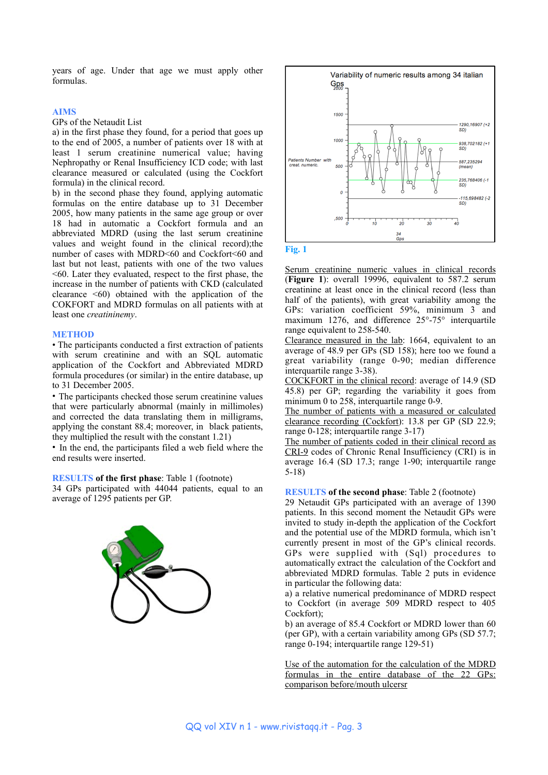years of age. Under that age we must apply other formulas.

#### **AIMS**

#### GPs of the Netaudit List

a) in the first phase they found, for a period that goes up to the end of 2005, a number of patients over 18 with at least 1 serum creatinine numerical value; having Nephropathy or Renal Insufficiency ICD code; with last clearance measured or calculated (using the Cockfort formula) in the clinical record.

b) in the second phase they found, applying automatic formulas on the entire database up to 31 December 2005, how many patients in the same age group or over 18 had in automatic a Cockfort formula and an abbreviated MDRD (using the last serum creatinine values and weight found in the clinical record);the number of cases with MDRD<60 and Cockfort<60 and last but not least, patients with one of the two values  $\leq 60$ . Later they evaluated, respect to the first phase, the increase in the number of patients with CKD (calculated clearance  $\leq 60$ ) obtained with the application of the COKFORT and MDRD formulas on all patients with at least one *creatininemy*.

#### **METHOD**

• The participants conducted a first extraction of patients with serum creatinine and with an SQL automatic application of the Cockfort and Abbreviated MDRD formula procedures (or similar) in the entire database, up to 31 December 2005.

• The participants checked those serum creatinine values that were particularly abnormal (mainly in millimoles) and corrected the data translating them in milligrams, applying the constant 88.4; moreover, in black patients, they multiplied the result with the constant 1.21)

• In the end, the participants filed a web field where the end results were inserted.

## **RESULTS of the first phase**: Table 1 (footnote)

34 GPs participated with 44044 patients, equal to an average of 1295 patients per GP.





**Fig. 1**

Serum creatinine numeric values in clinical records (**Figure 1**): overall 19996, equivalent to 587.2 serum creatinine at least once in the clinical record (less than half of the patients), with great variability among the GPs: variation coefficient 59%, minimum 3 and maximum 1276, and difference 25°-75° interquartile range equivalent to 258-540.

Clearance measured in the lab: 1664, equivalent to an average of 48.9 per GPs (SD 158); here too we found a great variability (range 0-90; median difference interquartile range 3-38).

COCKFORT in the clinical record: average of 14.9 (SD 45.8) per GP; regarding the variability it goes from minimum 0 to 258, interquartile range 0-9.

The number of patients with a measured or calculated clearance recording (Cockfort): 13.8 per GP (SD 22.9; range 0-128; interquartile range 3-17)

The number of patients coded in their clinical record as CRI-9 codes of Chronic Renal Insufficiency (CRI) is in average 16.4 (SD 17.3; range 1-90; interquartile range 5-18)

#### **RESULTS of the second phase**: Table 2 (footnote)

29 Netaudit GPs participated with an average of 1390 patients. In this second moment the Netaudit GPs were invited to study in-depth the application of the Cockfort and the potential use of the MDRD formula, which isn't currently present in most of the GP's clinical records. GPs were supplied with (Sql) procedures to automatically extract the calculation of the Cockfort and abbreviated MDRD formulas. Table 2 puts in evidence in particular the following data:

a) a relative numerical predominance of MDRD respect to Cockfort (in average 509 MDRD respect to 405 Cockfort);

b) an average of 85.4 Cockfort or MDRD lower than 60 (per GP), with a certain variability among GPs (SD 57.7; range 0-194; interquartile range 129-51)

Use of the automation for the calculation of the MDRD formulas in the entire database of the 22 GPs: comparison before/mouth ulcersr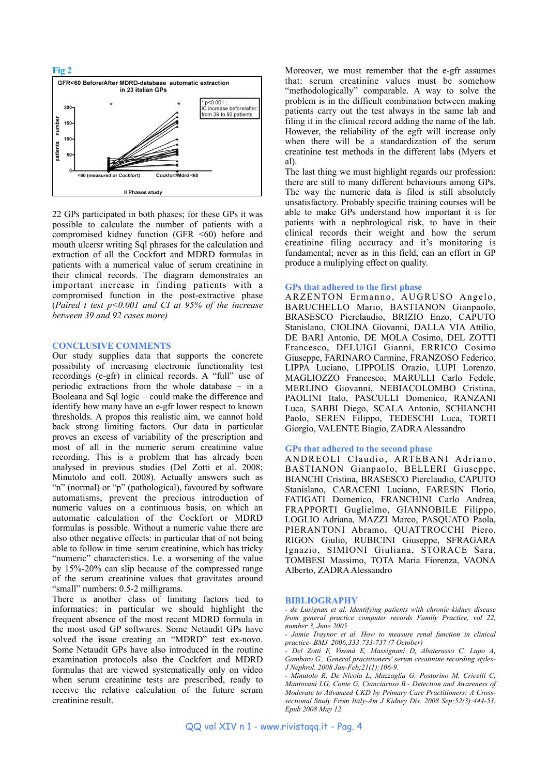

22 GPs participated in both phases; for these GPs it was possible to calculate the number of patients with a compromised kidney function (GFR  $\leq 60$ ) before and mouth ulcersr writing Sql phrases for the calculation and extraction of all the Cockfort and MDRD formulas in patients with a numerical value of serum creatinine in their clinical records. The diagram demonstrates an important increase in finding patients with a compromised function in the post-extractive phase (*Paired t test p<0.001 and CI at 95% of the increase between 39 and 92 cases more)*

#### **CONCLUSIVE COMMENTS**

Our study supplies data that supports the concrete possibility of increasing electronic functionality test recordings (e-gfr) in clinical records. A "full" use of periodic extractions from the whole database – in a Booleana and Sql logic – could make the difference and identify how many have an e-gfr lower respect to known thresholds. A propos this realistic aim, we cannot hold back strong limiting factors. Our data in particular proves an excess of variability of the prescription and most of all in the numeric serum creatinine value recording. This is a problem that has already been analysed in previous studies (Del Zotti et al. 2008; Minutolo and coll. 2008). Actually answers such as "n" (normal) or "p" (pathological), favoured by software automatisms, prevent the precious introduction of numeric values on a continuous basis, on which an automatic calculation of the Cockfort or MDRD formulas is possible. Without a numeric value there are also other negative effects: in particular that of not being able to follow in time serum creatinine, which has tricky "numeric" characteristics. I.e. a worsening of the value by 15%-20% can slip because of the compressed range of the serum creatinine values that gravitates around "small" numbers: 0.5-2 milligrams.

There is another class of limiting factors tied to informatics: in particular we should highlight the frequent absence of the most recent MDRD formula in the most used GP softwares. Some Netaudit GPs have solved the issue creating an "MDRD" test ex-novo. Some Netaudit GPs have also introduced in the routine examination protocols also the Cockfort and MDRD formulas that are viewed systematically only on video when serum creatinine tests are prescribed, ready to receive the relative calculation of the future serum creatinine result.

Moreover, we must remember that the e-gfr assumes that: serum creatinine values must be somehow "methodologically" comparable. A way to solve the problem is in the difficult combination between making patients carry out the test always in the same lab and filing it in the clinical record adding the name of the lab. However, the reliability of the egfr will increase only when there will be a standardization of the serum creatinine test methods in the different labs (Myers et al).

The last thing we must highlight regards our profession: there are still to many different behaviours among GPs. The way the numeric data is filed is still absolutely unsatisfactory. Probably specific training courses will be able to make GPs understand how important it is for patients with a nephrological risk, to have in their clinical records their weight and how the serum creatinine filing accuracy and it's monitoring is fundamental; never as in this field, can an effort in GP produce a muliplying effect on quality.

#### **GPs that adhered to the first phase**

ARZENTON Ermanno, AUGRUSO Angelo, BARUCHELLO Mario, BASTIANON Gianpaolo, BRASESCO Pierclaudio, BRIZIO Enzo, CAPUTO Stanislano, CIOLINA Giovanni, DALLA VIA Attilio, DE BARI Antonio, DE MOLA Cosimo, DEL ZOTTI Francesco, DELUIGI Gianni, ERRICO Cosimo Giuseppe, FARINARO Carmine, FRANZOSO Federico, LIPPA Luciano, LIPPOLIS Orazio, LUPI Lorenzo, MAGLIOZZO Francesco, MARULLI Carlo Fedele, MERLINO Giovanni, NEBIACOLOMBO Cristina, PAOLINI Italo, PASCULLI Domenico, RANZANI Luca, SABBI Diego, SCALA Antonio, SCHIANCHI Paolo, SEREN Filippo, TEDESCHI Luca, TORTI Giorgio, VALENTE Biagio, ZADRA Alessandro

#### **GPs that adhered to the second phase**

ANDREOLI Claudio, ARTEBANI Adriano, BASTIANON Gianpaolo, BELLERI Giuseppe, BIANCHI Cristina, BRASESCO Pierclaudio, CAPUTO Stanislano, CARACENI Luciano, FARESIN Florio, FATIGATI Domenico, FRANCHINI Carlo Andrea, FRAPPORTI Guglielmo, GIANNOBILE Filippo, LOGLIO Adriana, MAZZI Marco, PASQUATO Paola, PIERANTONI Abramo, QUATTROCCHI Piero, RIGON Giulio, RUBICINI Giuseppe, SFRAGARA Ignazio, SIMIONI Giuliana, STORACE Sara, TOMBESI Massimo, TOTA Maria Fiorenza, VAONA Alberto, ZADRA Alessandro

#### **BIBLIOGRAPHY**

- *de Lusignan et al. Identifying patients with chronic kidney disease from general practice computer records Family Practice, vol 22, number 3, June 2005*
- *Jamie Traynor et al. How to measure renal function in clinical practice- BMJ 2006;333:733-737 (7 October)*
- *[Del Zotti F](http://www.ncbi.nlm.nih.gov/sites/entrez?Db=pubmed&Cmd=Search&Term=%22Del%20Zotti%20F%22%5BAuthor%5D&itool=EntrezSystem2.PEntrez.Pubmed.Pubmed_ResultsPanel.Pubmed_DiscoveryPanel.Pubmed_RVAbstractPlus), [Visonà E,](http://www.ncbi.nlm.nih.gov/sites/entrez?Db=pubmed&Cmd=Search&Term=%22Vison%C3%A0%20E%22%5BAuthor%5D&itool=EntrezSystem2.PEntrez.Pubmed.Pubmed_ResultsPanel.Pubmed_DiscoveryPanel.Pubmed_RVAbstractPlus) [Massignani D](http://www.ncbi.nlm.nih.gov/sites/entrez?Db=pubmed&Cmd=Search&Term=%22Massignani%20D%22%5BAuthor%5D&itool=EntrezSystem2.PEntrez.Pubmed.Pubmed_ResultsPanel.Pubmed_DiscoveryPanel.Pubmed_RVAbstractPlus), [Abaterusso C](http://www.ncbi.nlm.nih.gov/sites/entrez?Db=pubmed&Cmd=Search&Term=%22Abaterusso%20C%22%5BAuthor%5D&itool=EntrezSystem2.PEntrez.Pubmed.Pubmed_ResultsPanel.Pubmed_DiscoveryPanel.Pubmed_RVAbstractPlus), [Lupo A](http://www.ncbi.nlm.nih.gov/sites/entrez?Db=pubmed&Cmd=Search&Term=%22Lupo%20A%22%5BAuthor%5D&itool=EntrezSystem2.PEntrez.Pubmed.Pubmed_ResultsPanel.Pubmed_DiscoveryPanel.Pubmed_RVAbstractPlus), [Gambaro G](http://www.ncbi.nlm.nih.gov/sites/entrez?Db=pubmed&Cmd=Search&Term=%22Gambaro%20G%22%5BAuthor%5D&itool=EntrezSystem2.PEntrez.Pubmed.Pubmed_ResultsPanel.Pubmed_DiscoveryPanel.Pubmed_RVAbstractPlus)., General practitioners' serum creatinine recording styles-J Nephrol. 2008 Jan-Feb;21(1):106-9.*
- *Minutolo R, De Nicola L, Mazzaglia G, Postorino M, Cricelli C, Mantovani LG, Conte G, Cianciaruso B.- Detection and Awareness of Moderate to Advanced CKD by Primary Care Practitioners: A Crosssectional Study From Italy-Am J Kidney Dis. 2008 Sep;52(3):444-53. Epub 2008 May 12.*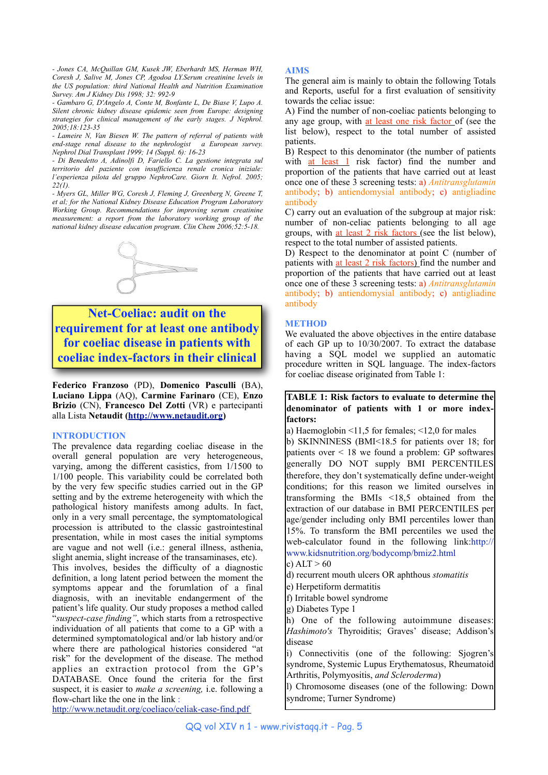*- Jones CA, McQuillan GM, Kusek JW, Eberhardt MS, Herman WH, Coresh J, Salive M, Jones CP, Agodoa LY.Serum creatinine levels in the US population: third National Health and Nutrition Examination Survey. Am J Kidney Dis 1998; 32: 992-9* 

*- Gambaro G, D'Angelo A, Conte M, Bonfante L, De Biase V, Lupo A. Silent chronic kidney disease epidemic seen from Europe: designing strategies for clinical management of the early stages. J Nephrol. 2005;18:123-35* 

*- Lameire N, Van Biesen W. The pattern of referral of patients with end-stage renal disease to the nephrologist a European survey. Nephrol Dial Transplant 1999; 14 (Suppl. 6): 16-23* 

*- Di Benedetto A, Adinolfi D, Fariello C. La gestione integrata sul territorio del paziente con insufficienza renale cronica iniziale: l'esperienza pilota del gruppo NephroCare. Giorn It. Nefrol. 2005; 22(1).*

*- Myers GL, Miller WG, Coresh J, Fleming J, Greenberg N, Greene T, et al; for the National Kidney Disease Education Program Laboratory Working Group. Recommendations for improving serum creatinine measurement: a report from the laboratory working group of the national kidney disease education program. Clin Chem 2006;52:5-18.*



**Net-Coeliac: audit on the requirement for at least one antibody for coeliac disease in patients with coeliac index-factors in their clinical** 

**Federico Franzoso** (PD), **Domenico Pasculli** (BA), **Luciano Lippa** (AQ), **Carmine Farinaro** (CE), **Enzo Brizio** (CN), **Francesco Del Zotti** (VR) e partecipanti alla Lista **Netaudit [\(http://www.netaudit.org\)](http://www.netaudit.org)**

#### **INTRODUCTION**

The prevalence data regarding coeliac disease in the overall general population are very heterogeneous, varying, among the different casistics, from 1/1500 to 1/100 people. This variability could be correlated both by the very few specific studies carried out in the GP setting and by the extreme heterogeneity with which the pathological history manifests among adults. In fact, only in a very small percentage, the symptomatological procession is attributed to the classic gastrointestinal presentation, while in most cases the initial symptoms are vague and not well (i.e.: general illness, asthenia, slight anemia, slight increase of the transaminases, etc).

This involves, besides the difficulty of a diagnostic definition, a long latent period between the moment the symptoms appear and the forumlation of a final diagnosis, with an inevitable endangerment of the patient's life quality. Our study proposes a method called "*suspect-case finding"*, which starts from a retrospective individuation of all patients that come to a GP with a determined symptomatological and/or lab history and/or where there are pathological histories considered "at risk" for the development of the disease. The method applies an extraction protocol from the GP's DATABASE. Once found the criteria for the first suspect, it is easier to *make a screening,* i.e. following a flow-chart like the one in the link :

[http://www.netaudit.org/coeliaco/celiak-case-find.pdf](http://www.netaudit.org/celiaco/celiak-case-find.pdf) 

## **AIMS**

The general aim is mainly to obtain the following Totals and Reports, useful for a first evaluation of sensitivity towards the celiac issue:

A) Find the number of non-coeliac patients belonging to any age group, with at least one risk factor of (see the list below), respect to the total number of assisted patients.

B) Respect to this denominator (the number of patients with  $at$  least 1 risk factor) find the number and proportion of the patients that have carried out at least once one of these 3 screening tests: a) *Antitransglutamin*  antibody; b) antiendomysial antibody; c) antigliadine antibody

C) carry out an evaluation of the subgroup at major risk: number of non-celiac patients belonging to all age groups, with at least 2 risk factors (see the list below), respect to the total number of assisted patients.

D) Respect to the denominator at point C (number of patients with at least 2 risk factors) find the number and proportion of the patients that have carried out at least once one of these 3 screening tests: a) *Antitransglutamin*  antibody; b) antiendomysial antibody; c) antigliadine antibody

#### **METHOD**

We evaluated the above objectives in the entire database of each GP up to 10/30/2007. To extract the database having a SQL model we supplied an automatic procedure written in SQL language. The index-factors for coeliac disease originated from Table 1:

## **TABLE 1: Risk factors to evaluate to determine the denominator of patients with 1 or more indexfactors:**

a) Haemoglobin <11,5 for females; <12,0 for males b) SKINNINESS (BMI<18.5 for patients over 18; for patients over < 18 we found a problem: GP softwares generally DO NOT supply BMI PERCENTILES therefore, they don't systematically define under-weight conditions; for this reason we limited ourselves in transforming the BMIs <18,5 obtained from the extraction of our database in BMI PERCENTILES per age/gender including only BMI percentiles lower than 15%. To transform the BMI percentiles we used the web-calculator found in the following link:[http://](http://www.kidsnutrition.org/bodycomp/bmiz2.html) [www.kidsnutrition.org/bodycomp/bmiz2.html](http://www.kidsnutrition.org/bodycomp/bmiz2.html) 

c)  $ALT > 60$ 

d) recurrent mouth ulcers OR aphthous *stomatitis*

- e) Herpetiform dermatitis
- f) Irritable bowel syndrome
- g) Diabetes Type 1

h) One of the following autoimmune diseases: *Hashimoto's* Thyroiditis; Graves' disease; Addison's disease

i) Connectivitis (one of the following: Sjogren's syndrome, Systemic Lupus Erythematosus, Rheumatoid Arthritis, Polymyositis, *and Scleroderma*)

l) Chromosome diseases (one of the following: Down syndrome; Turner Syndrome)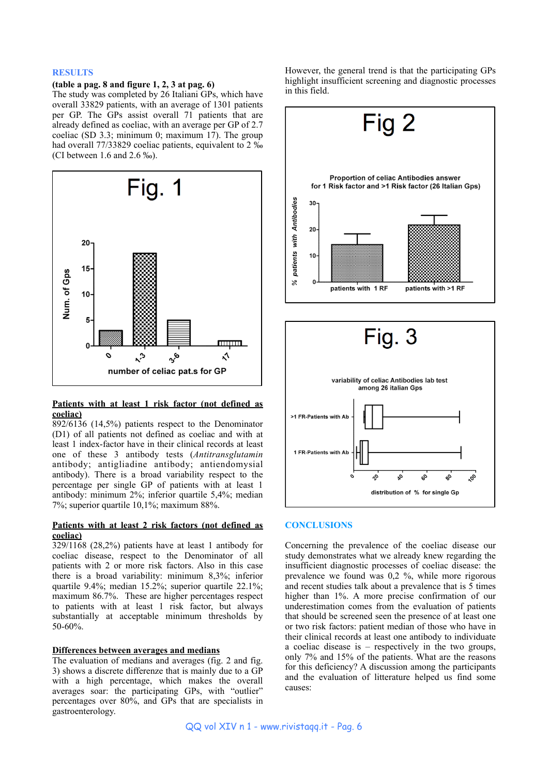#### **RESULTS**

## **(table a pag. 8 and figure 1, 2, 3 at pag. 6)**

The study was completed by 26 Italiani GPs, which have overall 33829 patients, with an average of 1301 patients per GP. The GPs assist overall 71 patients that are already defined as coeliac, with an average per GP of 2.7 coeliac (SD 3.3; minimum 0; maximum 17). The group had overall 77/33829 coeliac patients, equivalent to 2 ‰ (CI between 1.6 and 2.6 ‰).



## **Patients with at least 1 risk factor (not defined as coeliac)**

892/6136 (14,5%) patients respect to the Denominator (D1) of all patients not defined as coeliac and with at least 1 index-factor have in their clinical records at least one of these 3 antibody tests (*Antitransglutamin*  antibody; antigliadine antibody; antiendomysial antibody). There is a broad variability respect to the percentage per single GP of patients with at least 1 antibody: minimum 2%; inferior quartile 5,4%; median 7%; superior quartile 10,1%; maximum 88%.

### **Patients with at least 2 risk factors (not defined as coeliac)**

329/1168 (28,2%) patients have at least 1 antibody for coeliac disease, respect to the Denominator of all patients with 2 or more risk factors. Also in this case there is a broad variability: minimum 8,3%; inferior quartile 9.4%; median 15.2%; superior quartile 22.1%; maximum 86.7%. These are higher percentages respect to patients with at least 1 risk factor, but always substantially at acceptable minimum thresholds by 50-60%.

## **Differences between averages and medians**

The evaluation of medians and averages (fig. 2 and fig. 3) shows a discrete differenze that is mainly due to a GP with a high percentage, which makes the overall averages soar: the participating GPs, with "outlier" percentages over 80%, and GPs that are specialists in gastroenterology.

However, the general trend is that the participating GPs highlight insufficient screening and diagnostic processes in this field.



### **CONCLUSIONS**

Concerning the prevalence of the coeliac disease our study demonstrates what we already knew regarding the insufficient diagnostic processes of coeliac disease: the prevalence we found was 0,2 %, while more rigorous and recent studies talk about a prevalence that is 5 times higher than 1%. A more precise confirmation of our underestimation comes from the evaluation of patients that should be screened seen the presence of at least one or two risk factors: patient median of those who have in their clinical records at least one antibody to individuate a coeliac disease is – respectively in the two groups, only 7% and 15% of the patients. What are the reasons for this deficiency? A discussion among the participants and the evaluation of litterature helped us find some causes: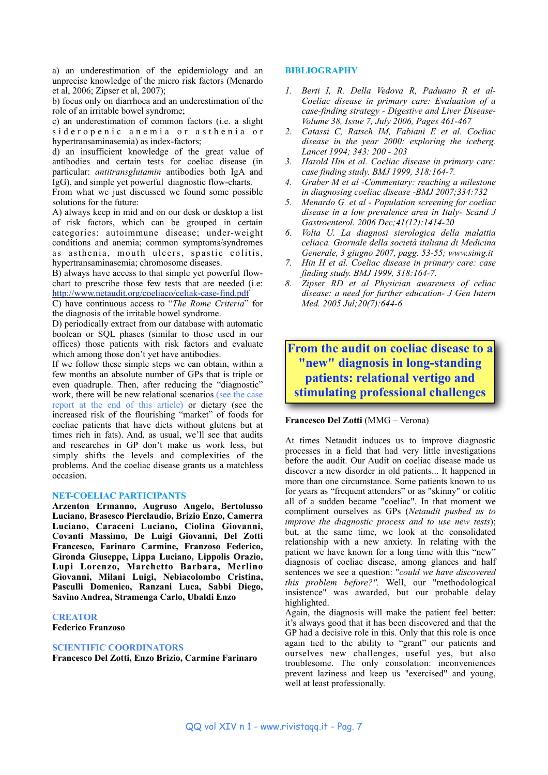a) an underestimation of the epidemiology and an unprecise knowledge of the micro risk factors (Menardo et al, 2006; Zipser et al, 2007);

b) focus only on diarrhoea and an underestimation of the role of an irritable bowel syndrome;

c) an underestimation of common factors (i.e. a slight sideropenic anemia or asthenia or hypertransaminasemia) as index-factors;

d) an insufficient knowledge of the great value of antibodies and certain tests for coeliac disease (in particular: *antitransglutamin* antibodies both IgA and IgG), and simple yet powerful diagnostic flow-charts.

From what we just discussed we found some possible solutions for the future:

A) always keep in mid and on our desk or desktop a list of risk factors, which can be grouped in certain categories: autoimmune disease; under-weight conditions and anemia; common symptoms/syndromes as asthenia, mouth ulcers, spastic colitis, hypertransaminasemia; chromosome diseases.

B) always have access to that simple yet powerful flowchart to prescribe those few tests that are needed (i.e: [http://www.netaudit.org/coeliaco/celiak-case-find.pdf](http://www.netaudit.org/celiaco/celiak-case-find.pdf)

C) have continuous access to "*The Rome Criteria*" for the diagnosis of the irritable bowel syndrome.

D) periodically extract from our database with automatic boolean or SQL phases (similar to those used in our offices) those patients with risk factors and evaluate which among those don't yet have antibodies.

If we follow these simple steps we can obtain, within a few months an absolute number of GPs that is triple or even quadruple. Then, after reducing the "diagnostic" work, there will be new relational scenarios (see the case report at the end of this article) or dietary (see the increased risk of the flourishing "market" of foods for coeliac patients that have diets without glutens but at times rich in fats). And, as usual, we'll see that audits and researches in GP don't make us work less, but simply shifts the levels and complexities of the problems. And the coeliac disease grants us a matchless occasion.

#### **NET-COELIAC PARTICIPANTS**

**Arzenton Ermanno, Augruso Angelo, Bertolusso Luciano, Brasesco Pierclaudio, Brizio Enzo, Camerra Luciano, Caraceni Luciano, Ciolina Giovanni, Covanti Massimo, De Luigi Giovanni, Del Zotti Francesco, Farinaro Carmine, Franzoso Federico, Gironda Giuseppe, Lippa Luciano, Lippolis Orazio, Lupi Lorenzo, Marchetto Barbara, Merlino Giovanni, Milani Luigi, Nebiacolombo Cristina, Pasculli Domenico, Ranzani Luca, Sabbi Diego, Savino Andrea, Stramenga Carlo, Ubaldi Enzo**

## **CREATOR**

**Federico Franzoso**

## **SCIENTIFIC COORDINATORS**

**Francesco Del Zotti, Enzo Brizio, Carmine Farinaro**

#### **BIBLIOGRAPHY**

- *1. Berti I, R. Della Vedova R, Paduano R et al-Coeliac disease in primary care: Evaluation of a case-finding strategy - Digestive and Liver Disease-Volume 38, Issue 7, July 2006, Pages 461-467*
- *2. Catassi C, Ratsch IM, Fabiani E et al. Coeliac disease in the year 2000: exploring the iceberg. Lancet 1994; 343: 200 - 203*
- *3. Harold Hin et al. Coeliac disease in primary care: case finding study. BMJ 1999, 318:164-7.*
- *4. Graber M et al -Commentary: reaching a milestone in diagnosing coeliac disease -BMJ 2007;334:732*
- *5. Menardo G. et al Population screening for coeliac disease in a low prevalence area in Italy- Scand J Gastroenterol. 2006 Dec;41(12):1414-20*
- *6. Volta U. La diagnosi sierologica della malattia celiaca. Giornale della società italiana di Medicina Generale, 3 giugno 2007, pagg. 53-55; [www.simg.it](http://www.simg.it/)*
- *7. Hin H et al. Coeliac disease in primary care: case finding study. BMJ 1999, 318:164-7.*
- *8. [Zipser RD](http://www.ncbi.nlm.nih.gov/sites/entrez?Db=pubmed&Cmd=Search&Term=%22Zipser%20RD%22%5BAuthor%5D&itool=EntrezSystem2.PEntrez.Pubmed.Pubmed_ResultsPanel.Pubmed_DiscoveryPanel.Pubmed_RVAbstractPlus) et al Physician awareness of celiac disease: a need for further education- J Gen Intern Med. 2005 Jul;20(7):644-6*

**From the audit on coeliac disease to a "new" diagnosis in long-standing patients: relational vertigo and stimulating professional challenges**

## **Francesco Del Zotti** (MMG – Verona)

At times Netaudit induces us to improve diagnostic processes in a field that had very little investigations before the audit. Our Audit on coeliac disease made us discover a new disorder in old patients... It happened in more than one circumstance. Some patients known to us for years as "frequent attenders" or as "skinny" or colitic all of a sudden became "coeliac". In that moment we compliment ourselves as GPs (*Netaudit pushed us to improve the diagnostic process and to use new tests*); but, at the same time, we look at the consolidated relationship with a new anxiety. In relating with the patient we have known for a long time with this "new" diagnosis of coeliac disease, among glances and half sentences we see a question: "*could we have discovered this problem before?".* Well, our "methodological insistence" was awarded, but our probable delay highlighted.

Again, the diagnosis will make the patient feel better: it's always good that it has been discovered and that the GP had a decisive role in this. Only that this role is once again tied to the ability to "grant" our patients and ourselves new challenges, useful yes, but also troublesome. The only consolation: inconveniences prevent laziness and keep us "exercised" and young, well at least professionally.